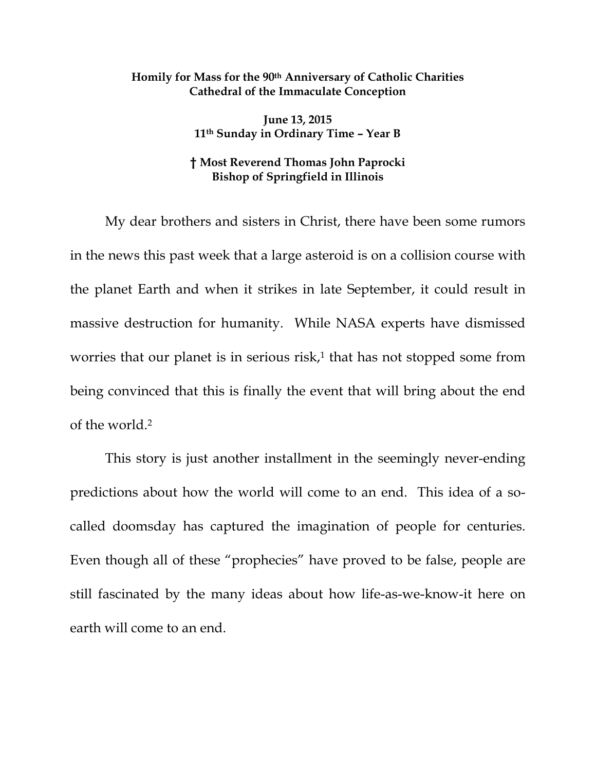## **Homily for Mass for the 90th Anniversary of Catholic Charities Cathedral of the Immaculate Conception**

**June 13, 2015 11th Sunday in Ordinary Time – Year B** 

## **† Most Reverend Thomas John Paprocki Bishop of Springfield in Illinois**

My dear brothers and sisters in Christ, there have been some rumors in the news this past week that a large asteroid is on a collision course with the planet Earth and when it strikes in late September, it could result in massive destruction for humanity. While NASA experts have dismissed worries that our planet is in serious  $risk<sub>i</sub>$ <sup>1</sup> that has not stopped some from being convinced that this is finally the event that will bring about the end of the world.2

This story is just another installment in the seemingly never-ending predictions about how the world will come to an end. This idea of a socalled doomsday has captured the imagination of people for centuries. Even though all of these "prophecies" have proved to be false, people are still fascinated by the many ideas about how life-as-we-know-it here on earth will come to an end.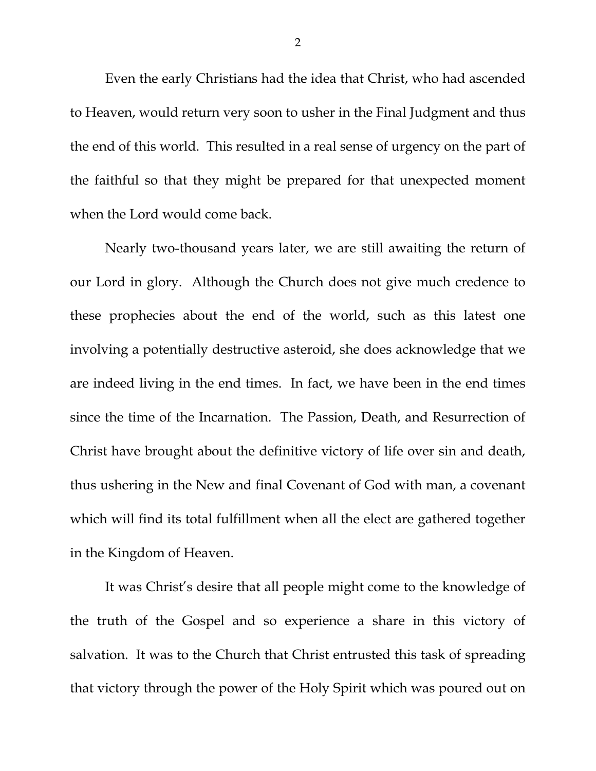Even the early Christians had the idea that Christ, who had ascended to Heaven, would return very soon to usher in the Final Judgment and thus the end of this world. This resulted in a real sense of urgency on the part of the faithful so that they might be prepared for that unexpected moment when the Lord would come back.

Nearly two-thousand years later, we are still awaiting the return of our Lord in glory. Although the Church does not give much credence to these prophecies about the end of the world, such as this latest one involving a potentially destructive asteroid, she does acknowledge that we are indeed living in the end times. In fact, we have been in the end times since the time of the Incarnation. The Passion, Death, and Resurrection of Christ have brought about the definitive victory of life over sin and death, thus ushering in the New and final Covenant of God with man, a covenant which will find its total fulfillment when all the elect are gathered together in the Kingdom of Heaven.

It was Christ's desire that all people might come to the knowledge of the truth of the Gospel and so experience a share in this victory of salvation. It was to the Church that Christ entrusted this task of spreading that victory through the power of the Holy Spirit which was poured out on

2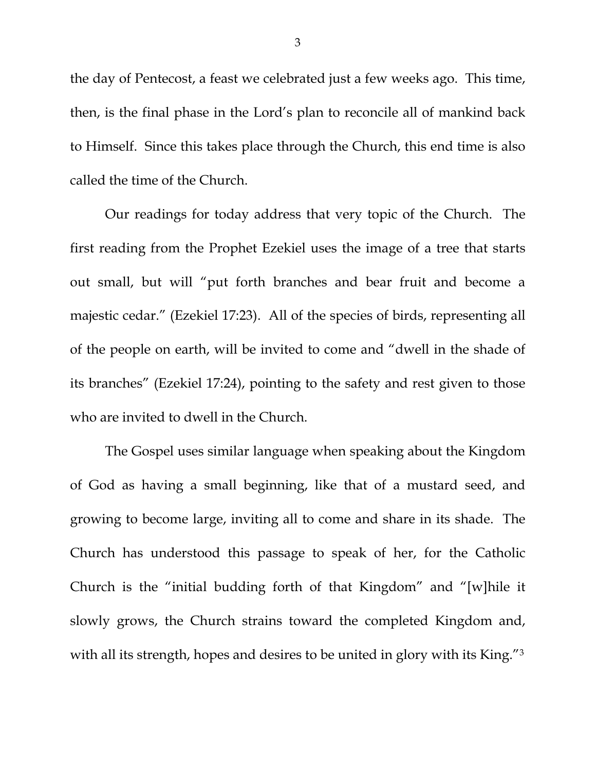the day of Pentecost, a feast we celebrated just a few weeks ago. This time, then, is the final phase in the Lord's plan to reconcile all of mankind back to Himself. Since this takes place through the Church, this end time is also called the time of the Church.

Our readings for today address that very topic of the Church. The first reading from the Prophet Ezekiel uses the image of a tree that starts out small, but will "put forth branches and bear fruit and become a majestic cedar." (Ezekiel 17:23). All of the species of birds, representing all of the people on earth, will be invited to come and "dwell in the shade of its branches" (Ezekiel 17:24), pointing to the safety and rest given to those who are invited to dwell in the Church.

The Gospel uses similar language when speaking about the Kingdom of God as having a small beginning, like that of a mustard seed, and growing to become large, inviting all to come and share in its shade. The Church has understood this passage to speak of her, for the Catholic Church is the "initial budding forth of that Kingdom" and "[w]hile it slowly grows, the Church strains toward the completed Kingdom and, with all its strength, hopes and desires to be united in glory with its King."3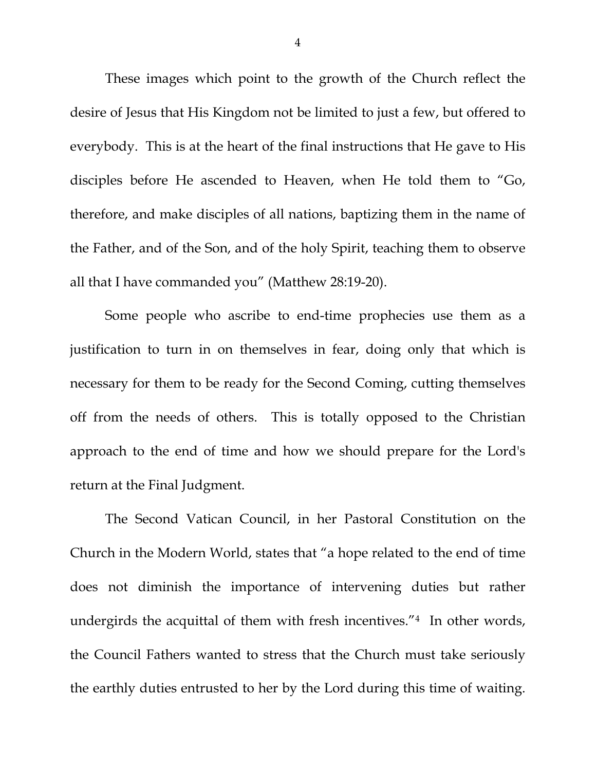These images which point to the growth of the Church reflect the desire of Jesus that His Kingdom not be limited to just a few, but offered to everybody. This is at the heart of the final instructions that He gave to His disciples before He ascended to Heaven, when He told them to "Go, therefore, and make disciples of all nations, baptizing them in the name of the Father, and of the Son, and of the holy Spirit, teaching them to observe all that I have commanded you" (Matthew 28:19-20).

Some people who ascribe to end-time prophecies use them as a justification to turn in on themselves in fear, doing only that which is necessary for them to be ready for the Second Coming, cutting themselves off from the needs of others. This is totally opposed to the Christian approach to the end of time and how we should prepare for the Lord's return at the Final Judgment.

The Second Vatican Council, in her Pastoral Constitution on the Church in the Modern World, states that "a hope related to the end of time does not diminish the importance of intervening duties but rather undergirds the acquittal of them with fresh incentives."4 In other words, the Council Fathers wanted to stress that the Church must take seriously the earthly duties entrusted to her by the Lord during this time of waiting.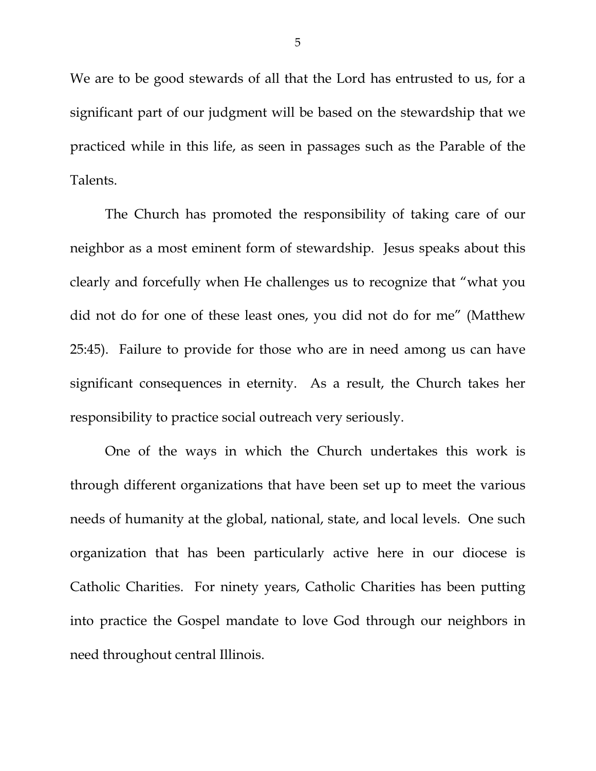We are to be good stewards of all that the Lord has entrusted to us, for a significant part of our judgment will be based on the stewardship that we practiced while in this life, as seen in passages such as the Parable of the Talents.

The Church has promoted the responsibility of taking care of our neighbor as a most eminent form of stewardship. Jesus speaks about this clearly and forcefully when He challenges us to recognize that "what you did not do for one of these least ones, you did not do for me" (Matthew 25:45). Failure to provide for those who are in need among us can have significant consequences in eternity. As a result, the Church takes her responsibility to practice social outreach very seriously.

One of the ways in which the Church undertakes this work is through different organizations that have been set up to meet the various needs of humanity at the global, national, state, and local levels. One such organization that has been particularly active here in our diocese is Catholic Charities. For ninety years, Catholic Charities has been putting into practice the Gospel mandate to love God through our neighbors in need throughout central Illinois.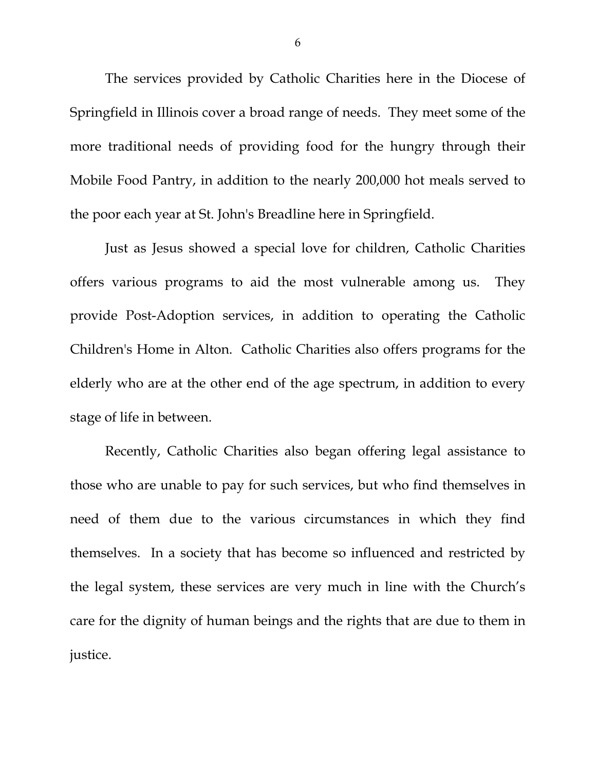The services provided by Catholic Charities here in the Diocese of Springfield in Illinois cover a broad range of needs. They meet some of the more traditional needs of providing food for the hungry through their Mobile Food Pantry, in addition to the nearly 200,000 hot meals served to the poor each year at St. John's Breadline here in Springfield.

Just as Jesus showed a special love for children, Catholic Charities offers various programs to aid the most vulnerable among us. They provide Post-Adoption services, in addition to operating the Catholic Children's Home in Alton. Catholic Charities also offers programs for the elderly who are at the other end of the age spectrum, in addition to every stage of life in between.

Recently, Catholic Charities also began offering legal assistance to those who are unable to pay for such services, but who find themselves in need of them due to the various circumstances in which they find themselves. In a society that has become so influenced and restricted by the legal system, these services are very much in line with the Church's care for the dignity of human beings and the rights that are due to them in justice.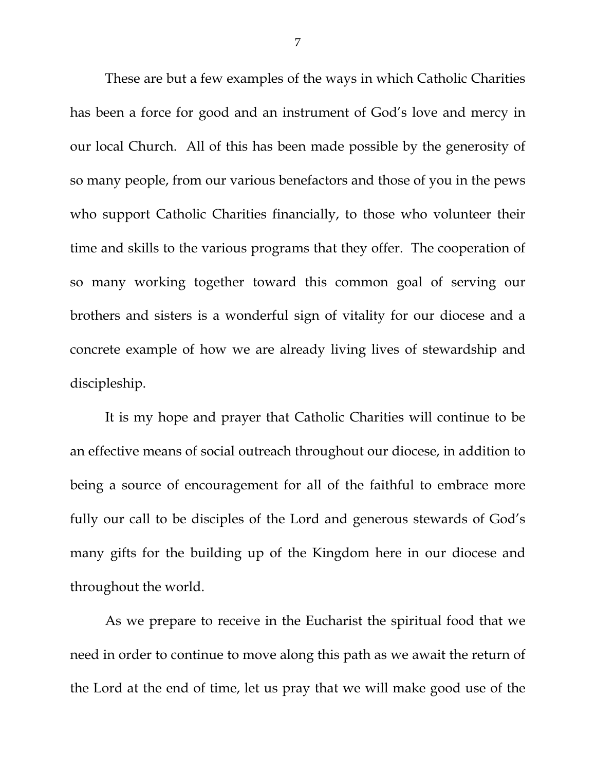These are but a few examples of the ways in which Catholic Charities has been a force for good and an instrument of God's love and mercy in our local Church. All of this has been made possible by the generosity of so many people, from our various benefactors and those of you in the pews who support Catholic Charities financially, to those who volunteer their time and skills to the various programs that they offer. The cooperation of so many working together toward this common goal of serving our brothers and sisters is a wonderful sign of vitality for our diocese and a concrete example of how we are already living lives of stewardship and discipleship.

It is my hope and prayer that Catholic Charities will continue to be an effective means of social outreach throughout our diocese, in addition to being a source of encouragement for all of the faithful to embrace more fully our call to be disciples of the Lord and generous stewards of God's many gifts for the building up of the Kingdom here in our diocese and throughout the world.

As we prepare to receive in the Eucharist the spiritual food that we need in order to continue to move along this path as we await the return of the Lord at the end of time, let us pray that we will make good use of the